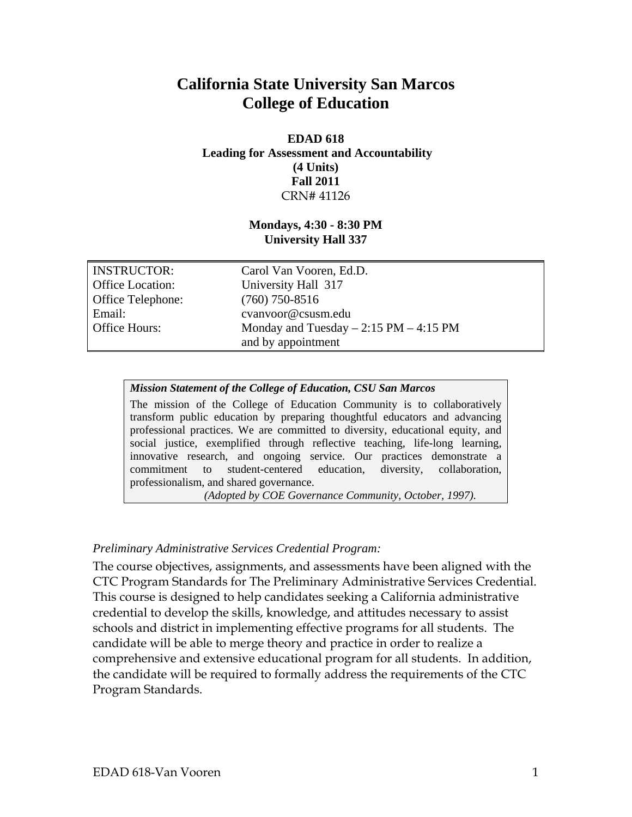# **California State University San Marcos College of Education**

#### **EDAD 618 Leading for Assessment and Accountability (4 Units) Fall 2011**  CRN# 41126

## **Mondays, 4:30 - 8:30 PM University Hall 337**

| <b>INSTRUCTOR:</b>       | Carol Van Vooren, Ed.D.                  |
|--------------------------|------------------------------------------|
| <b>Office Location:</b>  | University Hall 317                      |
| <b>Office Telephone:</b> | $(760)$ 750-8516                         |
| Email:                   | cvanvoor@csusm.edu                       |
| <b>Office Hours:</b>     | Monday and Tuesday $-2:15$ PM $-4:15$ PM |
|                          | and by appointment                       |

#### *Mission Statement of the College of Education, CSU San Marcos*

The mission of the College of Education Community is to collaboratively transform public education by preparing thoughtful educators and advancing professional practices. We are committed to diversity, educational equity, and social justice, exemplified through reflective teaching, life-long learning, innovative research, and ongoing service. Our practices demonstrate a commitment to student-centered education, diversity, collaboration, professionalism, and shared governance.

*(Adopted by COE Governance Community, October, 1997).* 

#### *Preliminary Administrative Services Credential Program:*

The course objectives, assignments, and assessments have been aligned with the CTC Program Standards for The Preliminary Administrative Services Credential. This course is designed to help candidates seeking a California administrative credential to develop the skills, knowledge, and attitudes necessary to assist schools and district in implementing effective programs for all students. The candidate will be able to merge theory and practice in order to realize a comprehensive and extensive educational program for all students. In addition, the candidate will be required to formally address the requirements of the CTC Program Standards.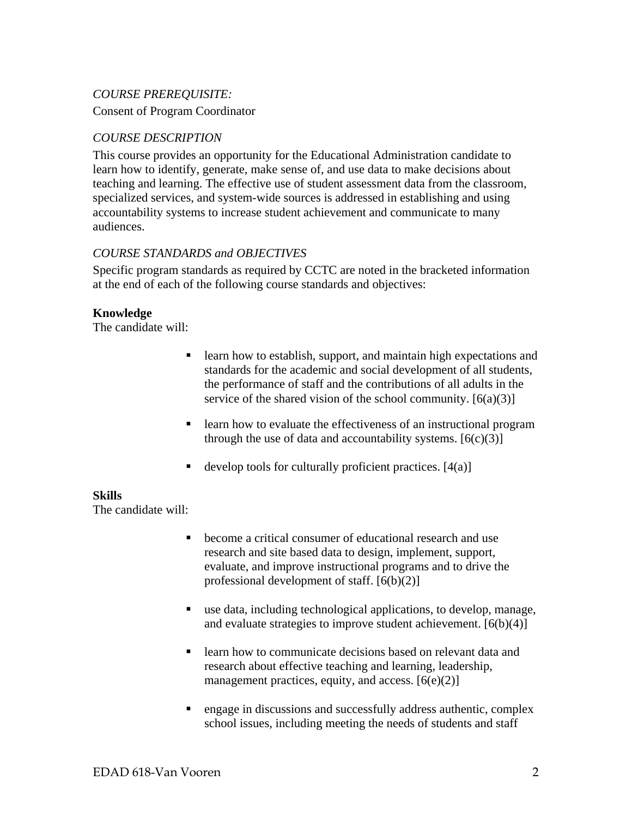# *COURSE PREREQUISITE:*

Consent of Program Coordinator

# *COURSE DESCRIPTION*

This course provides an opportunity for the Educational Administration candidate to learn how to identify, generate, make sense of, and use data to make decisions about teaching and learning. The effective use of student assessment data from the classroom, specialized services, and system-wide sources is addressed in establishing and using accountability systems to increase student achievement and communicate to many audiences.

#### *COURSE STANDARDS and OBJECTIVES*

Specific program standards as required by CCTC are noted in the bracketed information at the end of each of the following course standards and objectives:

#### **Knowledge**

The candidate will:

- **Exercise 1** learn how to establish, support, and maintain high expectations and standards for the academic and social development of all students, the performance of staff and the contributions of all adults in the service of the shared vision of the school community.  $[6(a)(3)]$
- **Example 1** learn how to evaluate the effectiveness of an instructional program through the use of data and accountability systems.  $[6(c)(3)]$
- develop tools for culturally proficient practices.  $[4(a)]$

#### **Skills**

The candidate will:

- become a critical consumer of educational research and use research and site based data to design, implement, support, evaluate, and improve instructional programs and to drive the professional development of staff. [6(b)(2)]
- use data, including technological applications, to develop, manage, and evaluate strategies to improve student achievement.  $[6(b)(4)]$
- **Example 1** Learn how to communicate decisions based on relevant data and research about effective teaching and learning, leadership, management practices, equity, and access.  $[6(e)(2)]$
- engage in discussions and successfully address authentic, complex school issues, including meeting the needs of students and staff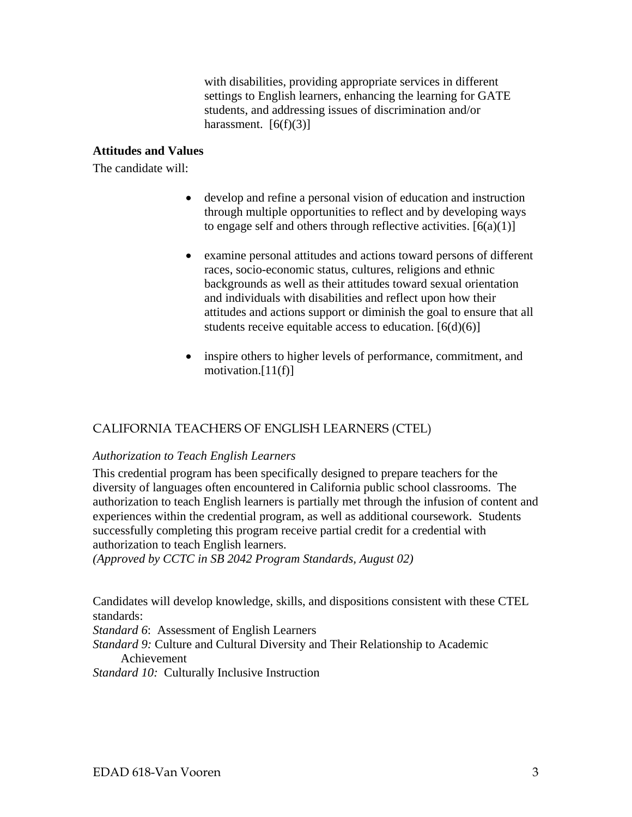with disabilities, providing appropriate services in different settings to English learners, enhancing the learning for GATE students, and addressing issues of discrimination and/or harassment.  $[6(f)(3)]$ 

## **Attitudes and Values**

The candidate will:

- develop and refine a personal vision of education and instruction through multiple opportunities to reflect and by developing ways to engage self and others through reflective activities.  $[6(a)(1)]$
- examine personal attitudes and actions toward persons of different races, socio-economic status, cultures, religions and ethnic backgrounds as well as their attitudes toward sexual orientation and individuals with disabilities and reflect upon how their attitudes and actions support or diminish the goal to ensure that all students receive equitable access to education.  $[6(d)(6)]$
- inspire others to higher levels of performance, commitment, and motivation.[11(f)]

# CALIFORNIA TEACHERS OF ENGLISH LEARNERS (CTEL)

#### *Authorization to Teach English Learners*

This credential program has been specifically designed to prepare teachers for the diversity of languages often encountered in California public school classrooms. The authorization to teach English learners is partially met through the infusion of content and experiences within the credential program, as well as additional coursework. Students successfully completing this program receive partial credit for a credential with authorization to teach English learners.

*(Approved by CCTC in SB 2042 Program Standards, August 02)* 

Candidates will develop knowledge, skills, and dispositions consistent with these CTEL standards:

*Standard 6*: Assessment of English Learners

*Standard 9:* Culture and Cultural Diversity and Their Relationship to Academic Achievement

*Standard 10:* Culturally Inclusive Instruction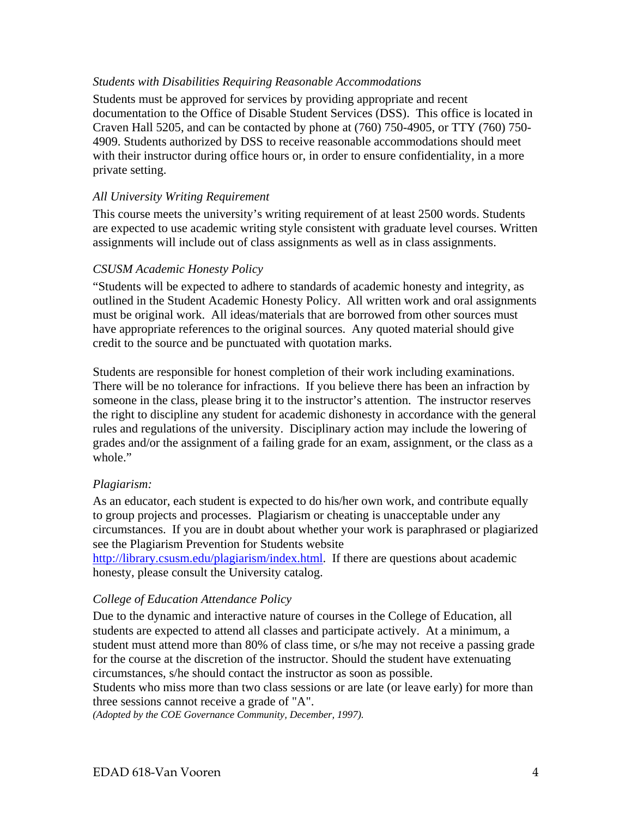#### *Students with Disabilities Requiring Reasonable Accommodations*

Students must be approved for services by providing appropriate and recent documentation to the Office of Disable Student Services (DSS). This office is located in Craven Hall 5205, and can be contacted by phone at (760) 750-4905, or TTY (760) 750- 4909. Students authorized by DSS to receive reasonable accommodations should meet with their instructor during office hours or, in order to ensure confidentiality, in a more private setting.

#### *All University Writing Requirement*

This course meets the university's writing requirement of at least 2500 words. Students are expected to use academic writing style consistent with graduate level courses. Written assignments will include out of class assignments as well as in class assignments.

#### *CSUSM Academic Honesty Policy*

"Students will be expected to adhere to standards of academic honesty and integrity, as outlined in the Student Academic Honesty Policy. All written work and oral assignments must be original work. All ideas/materials that are borrowed from other sources must have appropriate references to the original sources. Any quoted material should give credit to the source and be punctuated with quotation marks.

Students are responsible for honest completion of their work including examinations. There will be no tolerance for infractions. If you believe there has been an infraction by someone in the class, please bring it to the instructor's attention. The instructor reserves the right to discipline any student for academic dishonesty in accordance with the general rules and regulations of the university. Disciplinary action may include the lowering of grades and/or the assignment of a failing grade for an exam, assignment, or the class as a whole."

#### *Plagiarism:*

As an educator, each student is expected to do his/her own work, and contribute equally to group projects and processes. Plagiarism or cheating is unacceptable under any circumstances. If you are in doubt about whether your work is paraphrased or plagiarized see the Plagiarism Prevention for Students website

http://library.csusm.edu/plagiarism/index.html. If there are questions about academic honesty, please consult the University catalog.

#### *College of Education Attendance Policy*

Due to the dynamic and interactive nature of courses in the College of Education, all students are expected to attend all classes and participate actively. At a minimum, a student must attend more than 80% of class time, or s/he may not receive a passing grade for the course at the discretion of the instructor. Should the student have extenuating circumstances, s/he should contact the instructor as soon as possible.

Students who miss more than two class sessions or are late (or leave early) for more than three sessions cannot receive a grade of "A".

 *(Adopted by the COE Governance Community, December, 1997).*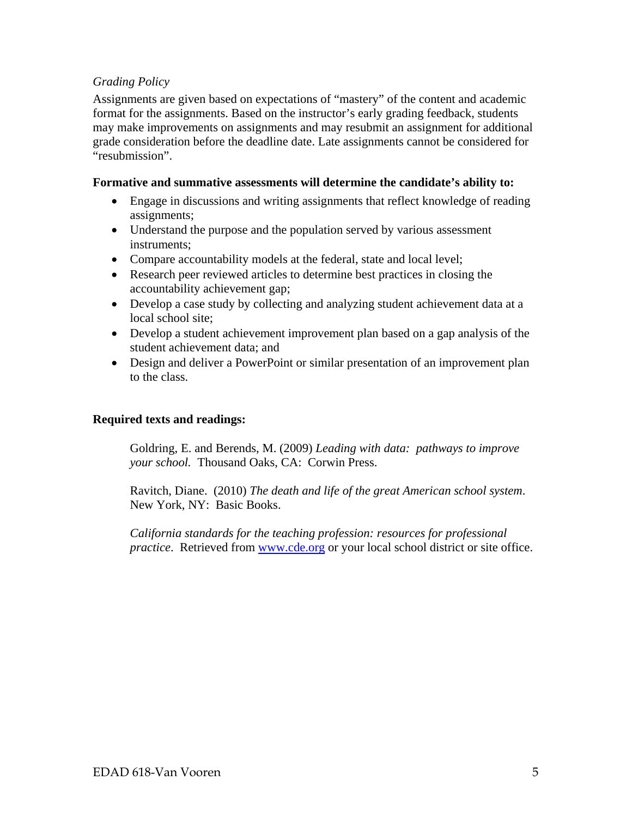# *Grading Policy*

Assignments are given based on expectations of "mastery" of the content and academic format for the assignments. Based on the instructor's early grading feedback, students may make improvements on assignments and may resubmit an assignment for additional grade consideration before the deadline date. Late assignments cannot be considered for "resubmission".

#### **Formative and summative assessments will determine the candidate's ability to:**

- Engage in discussions and writing assignments that reflect knowledge of reading assignments;
- Understand the purpose and the population served by various assessment instruments;
- Compare accountability models at the federal, state and local level;
- Research peer reviewed articles to determine best practices in closing the accountability achievement gap;
- Develop a case study by collecting and analyzing student achievement data at a local school site;
- Develop a student achievement improvement plan based on a gap analysis of the student achievement data; and
- Design and deliver a PowerPoint or similar presentation of an improvement plan to the class.

#### **Required texts and readings:**

Goldring, E. and Berends, M. (2009) *Leading with data: pathways to improve your school.* Thousand Oaks, CA: Corwin Press.

Ravitch, Diane. (2010) *The death and life of the great American school system*. New York, NY: Basic Books.

*California standards for the teaching profession: resources for professional practice*. Retrieved from www.cde.org or your local school district or site office.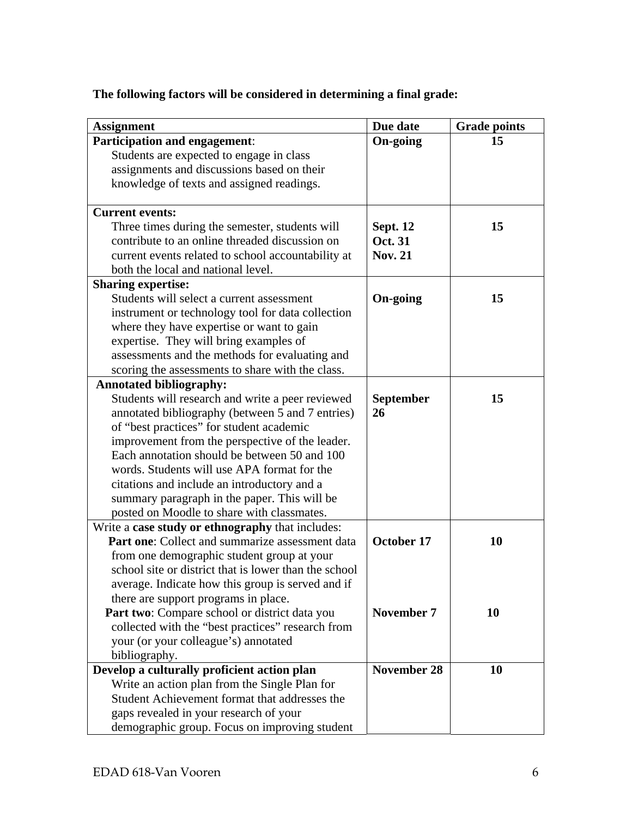| <b>Assignment</b>                                                  | Due date           | <b>Grade points</b> |
|--------------------------------------------------------------------|--------------------|---------------------|
| Participation and engagement:                                      | <b>On-going</b>    | 15                  |
| Students are expected to engage in class                           |                    |                     |
| assignments and discussions based on their                         |                    |                     |
| knowledge of texts and assigned readings.                          |                    |                     |
| <b>Current events:</b>                                             |                    |                     |
| Three times during the semester, students will                     | <b>Sept. 12</b>    | 15                  |
| contribute to an online threaded discussion on                     | <b>Oct. 31</b>     |                     |
| current events related to school accountability at                 | <b>Nov. 21</b>     |                     |
| both the local and national level.                                 |                    |                     |
| <b>Sharing expertise:</b>                                          |                    |                     |
| Students will select a current assessment                          | <b>On-going</b>    | 15                  |
| instrument or technology tool for data collection                  |                    |                     |
| where they have expertise or want to gain                          |                    |                     |
| expertise. They will bring examples of                             |                    |                     |
| assessments and the methods for evaluating and                     |                    |                     |
| scoring the assessments to share with the class.                   |                    |                     |
| <b>Annotated bibliography:</b>                                     |                    |                     |
| Students will research and write a peer reviewed                   | <b>September</b>   | 15                  |
| annotated bibliography (between 5 and 7 entries)                   | 26                 |                     |
| of "best practices" for student academic                           |                    |                     |
| improvement from the perspective of the leader.                    |                    |                     |
| Each annotation should be between 50 and 100                       |                    |                     |
| words. Students will use APA format for the                        |                    |                     |
| citations and include an introductory and a                        |                    |                     |
| summary paragraph in the paper. This will be                       |                    |                     |
| posted on Moodle to share with classmates.                         |                    |                     |
| Write a case study or ethnography that includes:                   |                    |                     |
| Part one: Collect and summarize assessment data                    | October 17         | 10                  |
| from one demographic student group at your                         |                    |                     |
| school site or district that is lower than the school              |                    |                     |
| average. Indicate how this group is served and if                  |                    |                     |
| there are support programs in place.                               |                    |                     |
| Part two: Compare school or district data you<br><b>November 7</b> |                    | 10                  |
| collected with the "best practices" research from                  |                    |                     |
| your (or your colleague's) annotated                               |                    |                     |
| bibliography.                                                      |                    |                     |
| Develop a culturally proficient action plan                        | <b>November 28</b> | 10                  |
| Write an action plan from the Single Plan for                      |                    |                     |
| Student Achievement format that addresses the                      |                    |                     |
| gaps revealed in your research of your                             |                    |                     |
| demographic group. Focus on improving student                      |                    |                     |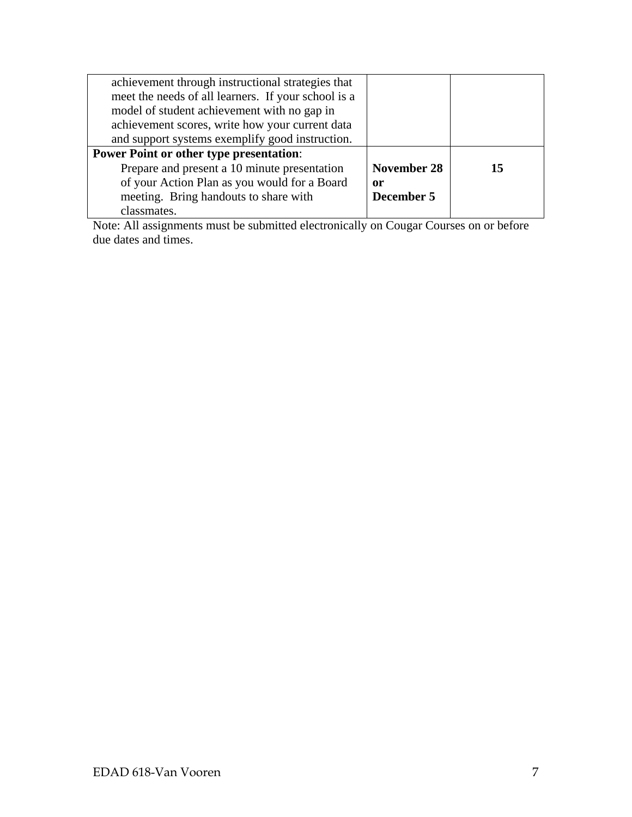| achievement through instructional strategies that   |             |    |
|-----------------------------------------------------|-------------|----|
| meet the needs of all learners. If your school is a |             |    |
| model of student achievement with no gap in         |             |    |
| achievement scores, write how your current data     |             |    |
| and support systems exemplify good instruction.     |             |    |
| <b>Power Point or other type presentation:</b>      |             |    |
| Prepare and present a 10 minute presentation        | November 28 | 15 |
| of your Action Plan as you would for a Board        | 0r          |    |
| meeting. Bring handouts to share with               | December 5  |    |
| classmates.                                         |             |    |

Note: All assignments must be submitted electronically on Cougar Courses on or before due dates and times.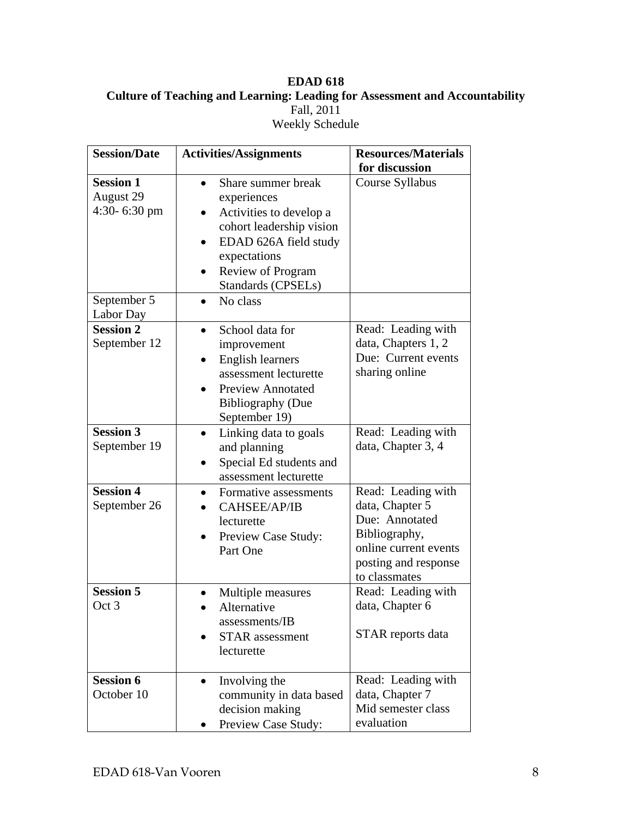# **EDAD 618 Culture of Teaching and Learning: Leading for Assessment and Accountability** Fall, 2011 Weekly Schedule

| <b>Session/Date</b>                           | <b>Activities/Assignments</b>                                                                                                                                                              | <b>Resources/Materials</b>                                                                                                                 |
|-----------------------------------------------|--------------------------------------------------------------------------------------------------------------------------------------------------------------------------------------------|--------------------------------------------------------------------------------------------------------------------------------------------|
| <b>Session 1</b><br>August 29<br>4:30-6:30 pm | Share summer break<br>experiences<br>Activities to develop a<br>cohort leadership vision<br>EDAD 626A field study<br>expectations<br><b>Review of Program</b><br><b>Standards (CPSELs)</b> | for discussion<br>Course Syllabus                                                                                                          |
| September 5<br>Labor Day                      | No class                                                                                                                                                                                   |                                                                                                                                            |
| <b>Session 2</b><br>September 12              | School data for<br>improvement<br><b>English learners</b><br>assessment lecturette<br><b>Preview Annotated</b><br><b>Bibliography (Due</b><br>September 19)                                | Read: Leading with<br>data, Chapters 1, 2<br>Due: Current events<br>sharing online                                                         |
| <b>Session 3</b><br>September 19              | Linking data to goals<br>٠<br>and planning<br>Special Ed students and<br>assessment lecturette                                                                                             | Read: Leading with<br>data, Chapter 3, 4                                                                                                   |
| <b>Session 4</b><br>September 26              | Formative assessments<br>CAHSEE/AP/IB<br>lecturette<br>Preview Case Study:<br>Part One                                                                                                     | Read: Leading with<br>data, Chapter 5<br>Due: Annotated<br>Bibliography,<br>online current events<br>posting and response<br>to classmates |
| <b>Session 5</b><br>Oct 3                     | Multiple measures<br>Alternative<br>assessments/IB<br><b>STAR</b> assessment<br>lecturette                                                                                                 | Read: Leading with<br>data, Chapter 6<br>STAR reports data                                                                                 |
| <b>Session 6</b><br>October 10                | Involving the<br>community in data based<br>decision making<br>Preview Case Study:                                                                                                         | Read: Leading with<br>data, Chapter 7<br>Mid semester class<br>evaluation                                                                  |